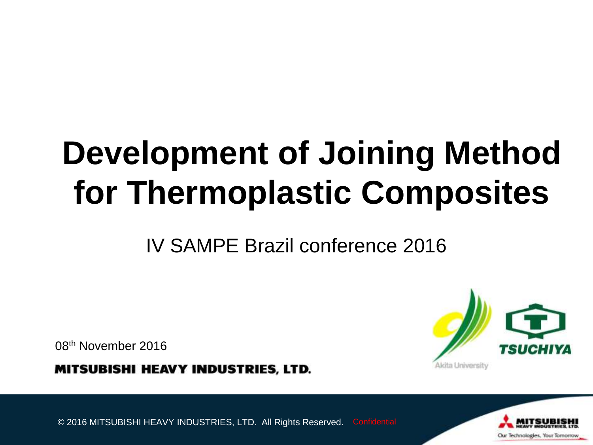# **Development of Joining Method for Thermoplastic Composites**

IV SAMPE Brazil conference 2016

08th November 2016

**MITSUBISHI HEAVY INDUSTRIES, LTD.** 



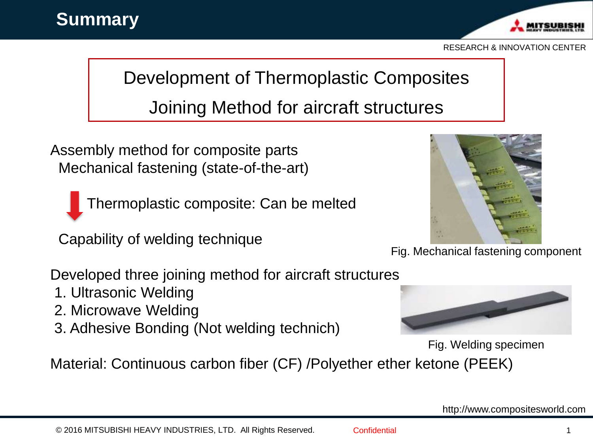

## Development of Thermoplastic Composites

Joining Method for aircraft structures

Assembly method for composite parts Mechanical fastening (state-of-the-art)



Thermoplastic composite: Can be melted

Capability of welding technique



Fig. Mechanical fastening component

Developed three joining method for aircraft structures

- 1. Ultrasonic Welding
- 2. Microwave Welding
- 3. Adhesive Bonding (Not welding technich)



Fig. Welding specimen

Material: Continuous carbon fiber (CF) /Polyether ether ketone (PEEK)

http://www.compositesworld.com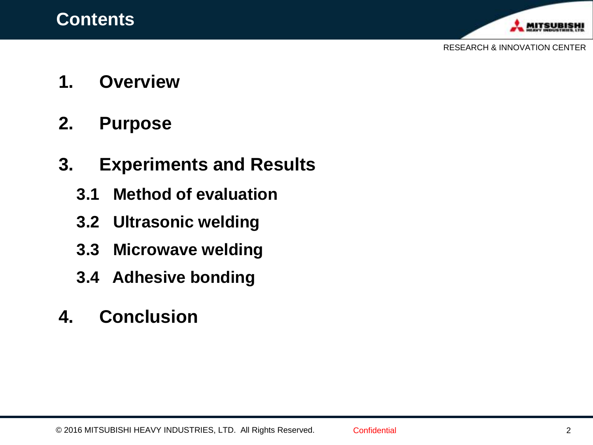

- **1. Overview**
- **2. Purpose**

## **3. Experiments and Results**

- **3.1 Method of evaluation**
- **3.2 Ultrasonic welding**
- **3.3 Microwave welding**
- **3.4 Adhesive bonding**
- **4. Conclusion**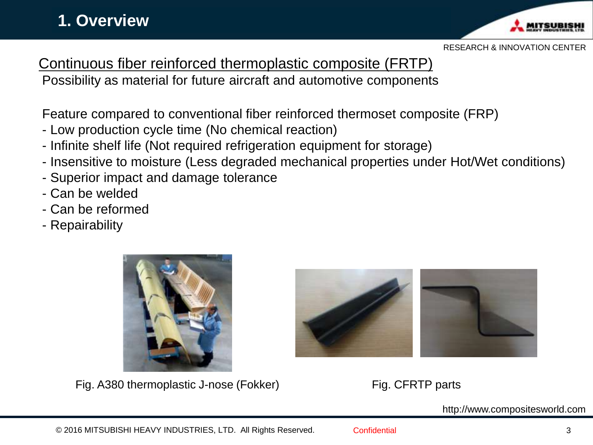#### **1. Overview**



RESEARCH & INNOVATION CENTER

Continuous fiber reinforced thermoplastic composite (FRTP)

Possibility as material for future aircraft and automotive components

Feature compared to conventional fiber reinforced thermoset composite (FRP)

- Low production cycle time (No chemical reaction)
- Infinite shelf life (Not required refrigeration equipment for storage)
- Insensitive to moisture (Less degraded mechanical properties under Hot/Wet conditions)
- Superior impact and damage tolerance
- Can be welded
- Can be reformed
- Repairability



Fig. A380 thermoplastic J-nose (Fokker) Fig. CFRTP parts



http://www.compositesworld.com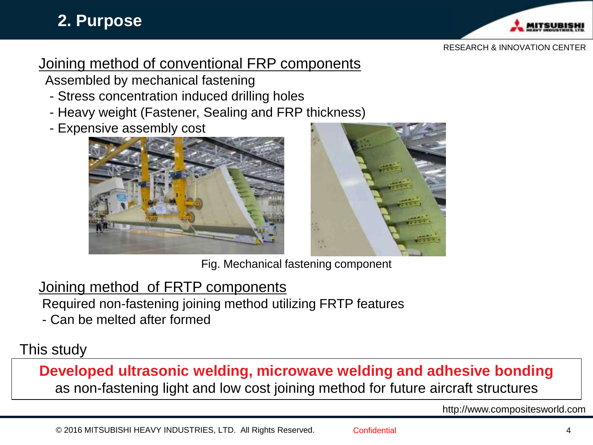#### **2. Purpose**



#### RESEARCH & INNOVATION CENTER

#### Joining method of conventional FRP components

Assembled by mechanical fastening

- Stress concentration induced drilling holes
- Heavy weight (Fastener, Sealing and FRP thickness)
- Expensive assembly cost





Fig. Mechanical fastening component

#### Joining method of FRTP components

Required non-fastening joining method utilizing FRTP features

- Can be melted after formed

#### This study

**Developed ultrasonic welding, microwave welding and adhesive bonding** as non-fastening light and low cost joining method for future aircraft structures

http://www.compositesworld.com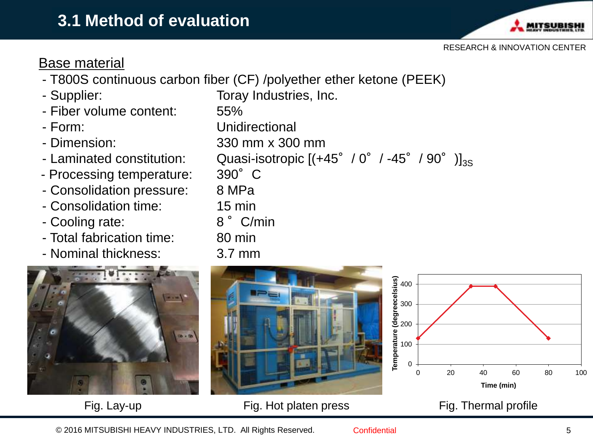

#### Base material

- T800S continuous carbon fiber (CF) /polyether ether ketone (PEEK)
- 
- Fiber volume content: 55%
- 
- 
- 
- Processing temperature: 390°C
- Consolidation pressure: 8 MPa
- Consolidation time: 15 min
- Cooling rate: 8° C/min
- Total fabrication time: 80 min
- Nominal thickness: 3.7 mm



- Supplier: Toray Industries, Inc. - Form: Unidirectional - Dimension: 330 mm x 300 mm - Laminated constitution: Quasi-isotropic  $[(+45^\circ / 0^\circ / -45^\circ / 90^\circ)]_{3S}$ 





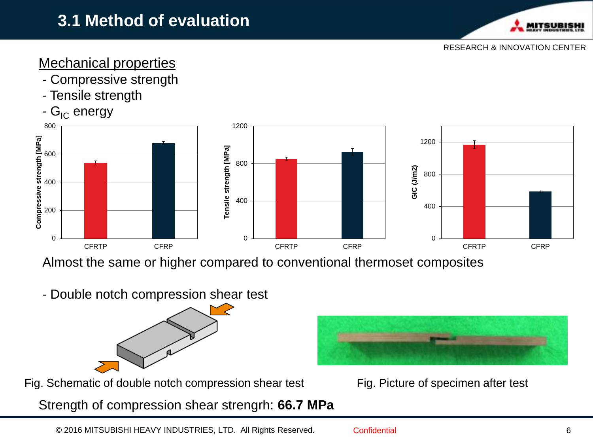#### **3.1 Method of evaluation**



RESEARCH & INNOVATION CENTER

#### Mechanical properties

- Compressive strength
- Tensile strength





Almost the same or higher compared to conventional thermoset composites

- Double notch compression shear test



Fig. Schematic of double notch compression shear test Fig. Picture of specimen after test

Strength of compression shear strengrh: **66.7 MPa**



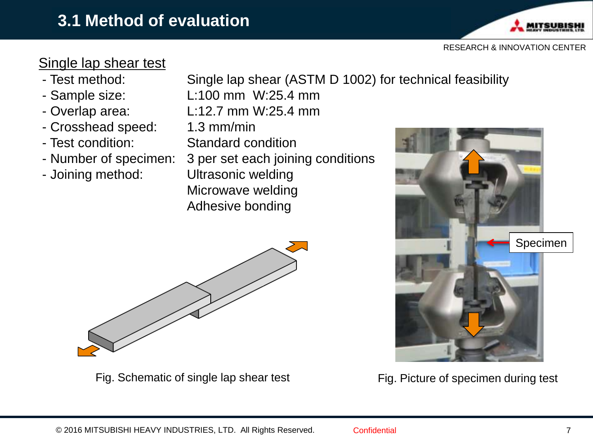

#### Single lap shear test

- Test method: Single lap shear (ASTM D 1002) for technical feasibility
- Sample size: L:100 mm W:25.4 mm
- 
- Crosshead speed: 1.3 mm/min
- 
- 
- 
- Overlap area: L:12.7 mm W:25.4 mm - Test condition: Standard condition - Number of specimen: 3 per set each joining conditions - Joining method: Ultrasonic welding Microwave welding Adhesive bonding



Fig. Schematic of single lap shear test



Fig. Picture of specimen during test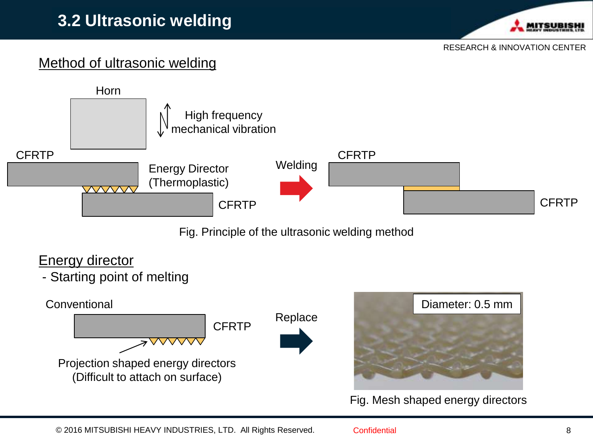

#### Method of ultrasonic welding



Fig. Principle of the ultrasonic welding method

#### Energy director

- Starting point of melting





Fig. Mesh shaped energy directors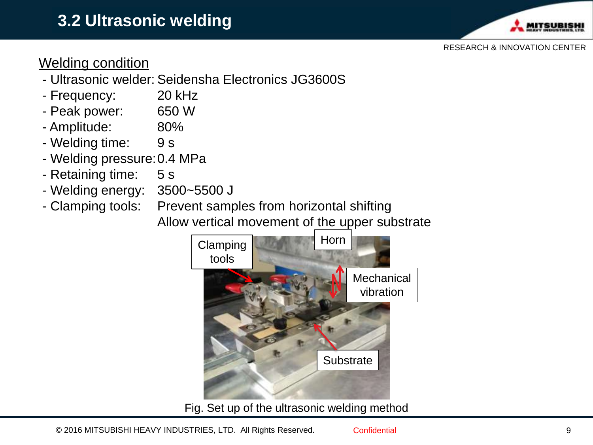

#### Welding condition

- Ultrasonic welder: Seidensha Electronics JG3600S
- Frequency: 20 kHz
- Peak power: 650 W
- Amplitude: 80%
- Welding time: 9 s
- Welding pressure:0.4 MPa
- Retaining time: 5 s
- Welding energy: 3500~5500 J
- Clamping tools: Prevent samples from horizontal shifting Allow vertical movement of the upper substrate



Fig. Set up of the ultrasonic welding method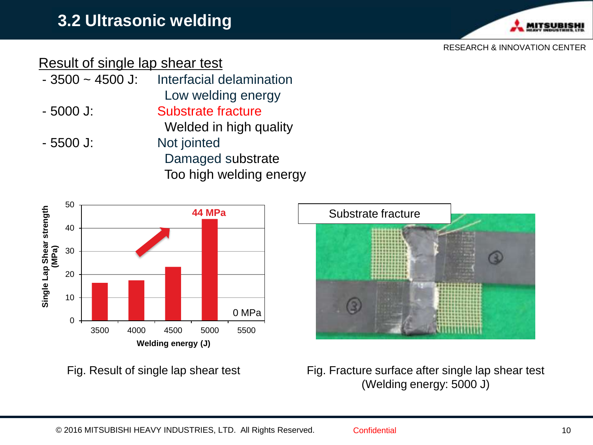

#### Result of single lap shear test

- 3500 ~ 4500 J: Interfacial delamination Low welding energy - 5000 J: Substrate fracture Welded in high quality - 5500 J: Not jointed
	- Damaged substrate Too high welding energy



Fig. Result of single lap shear test



Fig. Fracture surface after single lap shear test (Welding energy: 5000 J)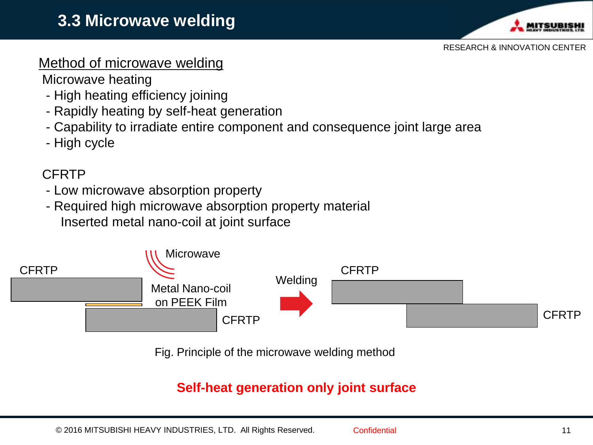

#### Method of microwave welding

Microwave heating

- High heating efficiency joining
- Rapidly heating by self-heat generation
- Capability to irradiate entire component and consequence joint large area
- High cycle

#### CFRTP

- Low microwave absorption property
- Required high microwave absorption property material Inserted metal nano-coil at joint surface



Fig. Principle of the microwave welding method

#### **Self-heat generation only joint surface**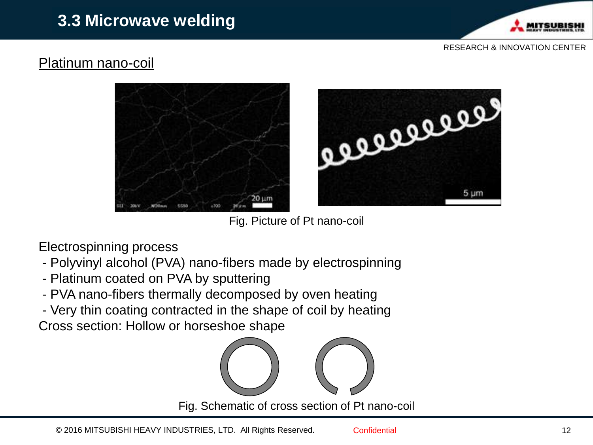

#### Platinum nano-coil



Fig. Picture of Pt nano-coil

Electrospinning process

- Polyvinyl alcohol (PVA) nano-fibers made by electrospinning
- Platinum coated on PVA by sputtering
- PVA nano-fibers thermally decomposed by oven heating
- Very thin coating contracted in the shape of coil by heating

Cross section: Hollow or horseshoe shape

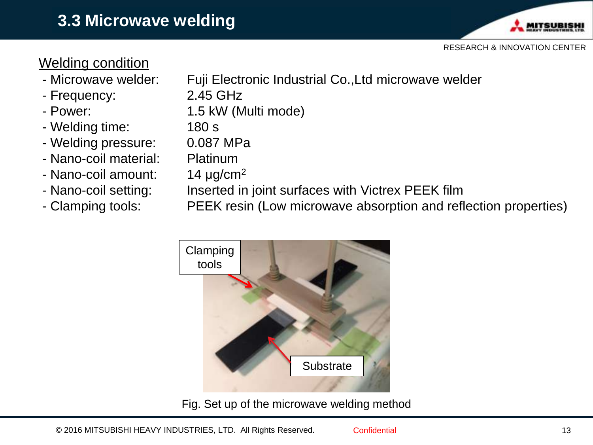

#### Welding condition

- 
- Frequency: 2.45 GHz
- 
- Welding time: 180 s
- Welding pressure: 0.087 MPa
- Nano-coil material: Platinum
- Nano-coil amount:  $14 \mu g/cm^2$
- 
- 
- Microwave welder: Fuji Electronic Industrial Co.,Ltd microwave welder
	-
- Power: 1.5 kW (Multi mode)
	-
	- - -
- Nano-coil setting: Inserted in joint surfaces with Victrex PEEK film
- Clamping tools: PEEK resin (Low microwave absorption and reflection properties)



Fig. Set up of the microwave welding method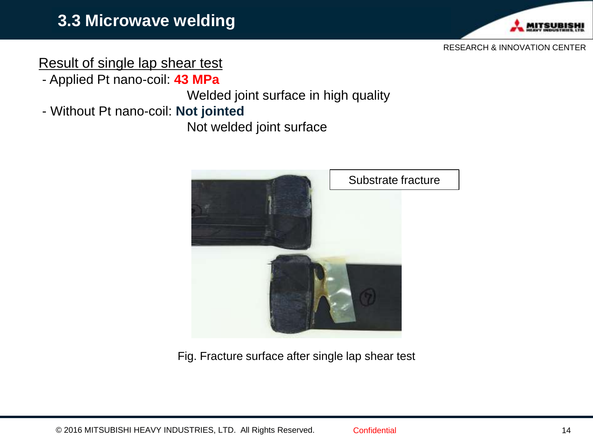

#### Result of single lap shear test

- Applied Pt nano-coil: **43 MPa**

Welded joint surface in high quality

- Without Pt nano-coil: **Not jointed**

Not welded joint surface



Fig. Fracture surface after single lap shear test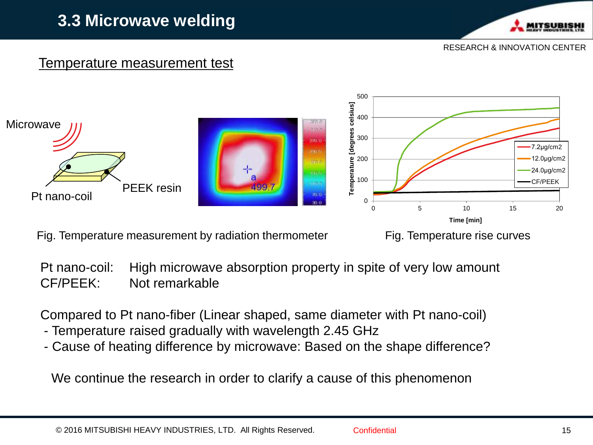#### **3.3 Microwave welding**



RESEARCH & INNOVATION CENTER

#### Temperature measurement test



Fig. Temperature measurement by radiation thermometer

Fig. Temperature rise curves

Pt nano-coil: High microwave absorption property in spite of very low amount CF/PEEK: Not remarkable

Compared to Pt nano-fiber (Linear shaped, same diameter with Pt nano-coil)

- Temperature raised gradually with wavelength 2.45 GHz
- Cause of heating difference by microwave: Based on the shape difference?

We continue the research in order to clarify a cause of this phenomenon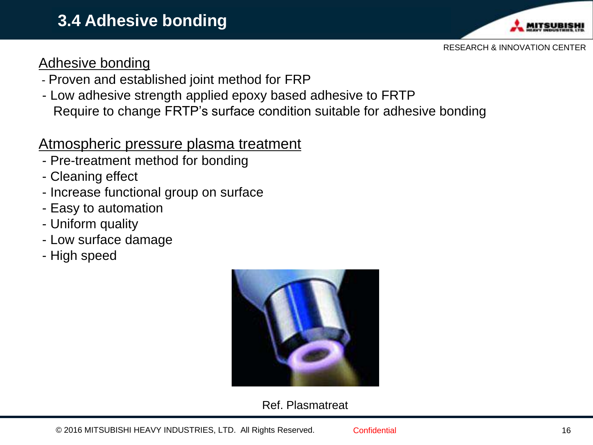

#### Adhesive bonding

- Proven and established joint method for FRP
- Low adhesive strength applied epoxy based adhesive to FRTP Require to change FRTP's surface condition suitable for adhesive bonding

#### Atmospheric pressure plasma treatment

- Pre-treatment method for bonding
- Cleaning effect
- Increase functional group on surface
- Easy to automation
- Uniform quality
- Low surface damage
- High speed



#### Ref. Plasmatreat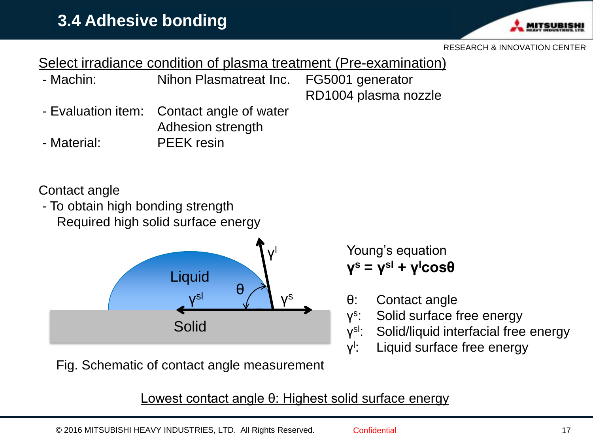

Select irradiance condition of plasma treatment (Pre-examination)

- Machin: Nihon Plasmatreat Inc. FG5001 generator RD1004 plasma nozzle

- Evaluation item: Contact angle of water Adhesion strength

- Material: PEEK resin

Contact angle

- To obtain high bonding strength Required high solid surface energy



Fig. Schematic of contact angle measurement

Lowest contact angle θ: Highest solid surface energy

γ s

γ l

ν<sup>sl</sup>:

Young's equation

**γ <sup>s</sup> = γ sl + γ <sup>l</sup>cosθ**

θ: Contact angle

Solid surface free energy

Liquid surface free energy

Solid/liquid interfacial free energy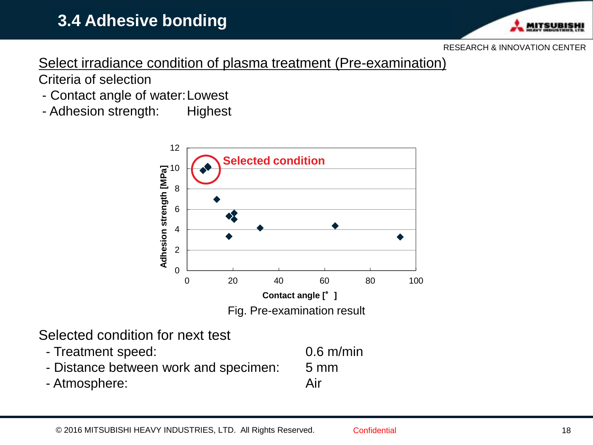### **3.4 Adhesive bonding**



RESEARCH & INNOVATION CENTER

Select irradiance condition of plasma treatment (Pre-examination) Criteria of selection

- Contact angle of water:Lowest
- Adhesion strength: Highest



Selected condition for next test

 - Treatment speed: 0.6 m/min - Distance between work and specimen: 5 mm - Atmosphere: Air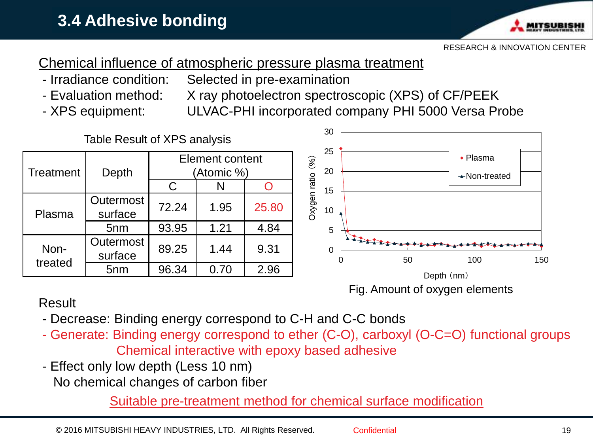

#### Chemical influence of atmospheric pressure plasma treatment

- Irradiance condition: Selected in pre-examination
- 
- Evaluation method: X ray photoelectron spectroscopic (XPS) of CF/PEEK
- 
- XPS equipment: ULVAC-PHI incorporated company PHI 5000 Versa Probe



#### Result

- Decrease: Binding energy correspond to C-H and C-C bonds
- Generate: Binding energy correspond to ether (C-O), carboxyl (O-C=O) functional groups Chemical interactive with epoxy based adhesive
- Effect only low depth (Less 10 nm)

No chemical changes of carbon fiber

Suitable pre-treatment method for chemical surface modification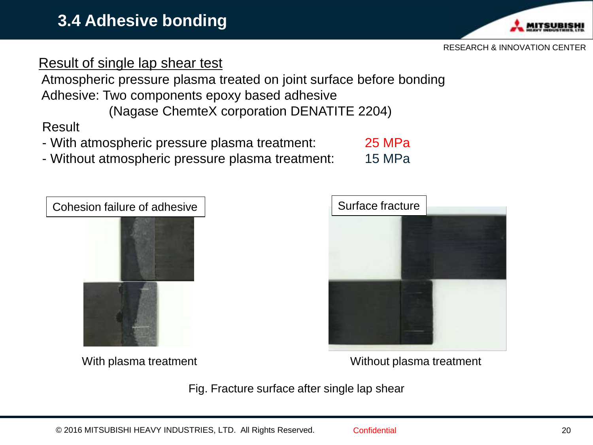#### Adhesive: Two components epoxy based adhesive (Nagase ChemteX corporation DENATITE 2204)

**3.4 Adhesive bonding**

Result of single lap shear test

Result

- With atmospheric pressure plasma treatment: 25 MPa
- Without atmospheric pressure plasma treatment: 15 MPa

Atmospheric pressure plasma treated on joint surface before bonding





With plasma treatment Without plasma treatment

Fig. Fracture surface after single lap shear

#### RESEARCH & INNOVATION CENTER

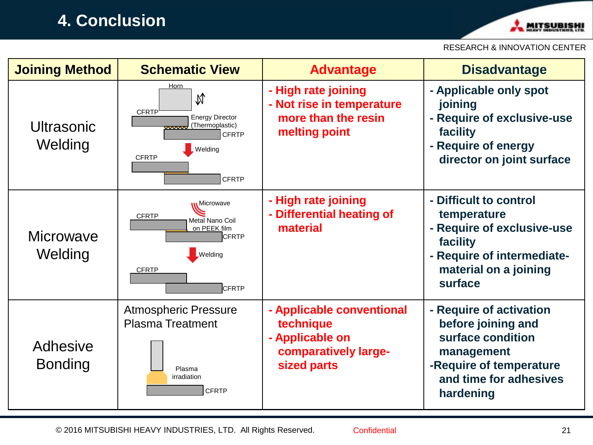#### **4. Conclusion**



#### RESEARCH & INNOVATION CENTER

| <b>Joining Method</b>      | <b>Schematic View</b>                                                                                                                                        | <b>Advantage</b>                                                                                 | <b>Disadvantage</b>                                                                                                                                |
|----------------------------|--------------------------------------------------------------------------------------------------------------------------------------------------------------|--------------------------------------------------------------------------------------------------|----------------------------------------------------------------------------------------------------------------------------------------------------|
| Ultrasonic<br>Welding      | Horn<br>N<br>CFRTP<br><b>Energy Director</b><br>(Thermoplastic)<br>$\overline{\mathbf{v}}$<br><b>CFRTP</b><br><b>Welding</b><br><b>CFRTP</b><br><b>CFRTP</b> | - High rate joining<br>- Not rise in temperature<br>more than the resin<br>melting point         | - Applicable only spot<br>joining<br>- Require of exclusive-use<br>facility<br>- Require of energy<br>director on joint surface                    |
| Microwave<br>Welding       | u Microwave<br><b>CFRTP</b><br>Metal Nano Coil<br>on PEEK film<br><b>CFRTP</b><br><b>Welding</b><br><b>CFRTP</b><br>CFRTP                                    | - High rate joining<br>- Differential heating of<br>material                                     | - Difficult to control<br>temperature<br>- Require of exclusive-use<br>facility<br>- Require of intermediate-<br>material on a joining<br>surface  |
| Adhesive<br><b>Bonding</b> | <b>Atmospheric Pressure</b><br><b>Plasma Treatment</b><br>Plasma<br>irradiation<br><b>CFRTP</b>                                                              | - Applicable conventional<br>technique<br>- Applicable on<br>comparatively large-<br>sized parts | - Require of activation<br>before joining and<br>surface condition<br>management<br>-Require of temperature<br>and time for adhesives<br>hardening |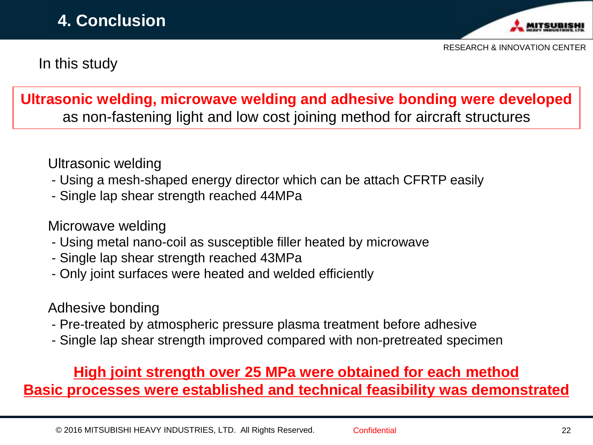

In this study

#### **Ultrasonic welding, microwave welding and adhesive bonding were developed** as non-fastening light and low cost joining method for aircraft structures

Ultrasonic welding

- Using a mesh-shaped energy director which can be attach CFRTP easily
- Single lap shear strength reached 44MPa

#### Microwave welding

- Using metal nano-coil as susceptible filler heated by microwave
- Single lap shear strength reached 43MPa
- Only joint surfaces were heated and welded efficiently

#### Adhesive bonding

- Pre-treated by atmospheric pressure plasma treatment before adhesive
- Single lap shear strength improved compared with non-pretreated specimen

#### **High joint strength over 25 MPa were obtained for each method Basic processes were established and technical feasibility was demonstrated**